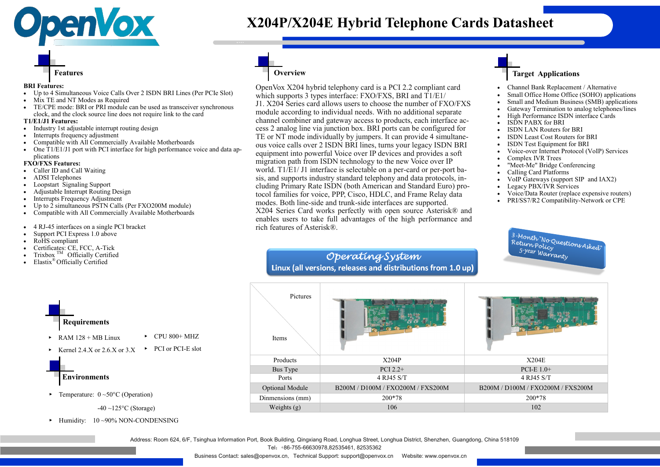OpenVox X204 hybrid telephony card is a PCI 2.2 compliant card which supports 3 types interface: FXO/FXS, BRI and T1/E1/ J1. X204 Series card allows users to choose the number of FXO/FXS module according to individual needs. With no additional separate channel combiner and gateway access to products, each interface access 2 analog line via junction box. BRI ports can be configured for TE or NT mode individually by jumpers. It can provide 4 simultaneous voice calls over 2 ISDN BRI lines, turns your legacy ISDN BRI equipment into powerful Voice over IP devices and provides a soft migration path from ISDN technology to the new Voice over IP world. T1/E1/ J1 interface is selectable on a per-card or per-port basis, and supports industry standard telephony and data protocols, including Primary Rate ISDN (both American and Standard Euro) protocol families for voice, PPP, Cisco, HDLC, and Frame Relay data modes. Both line-side and trunk-side interfaces are supported. X204 Series Card works perfectly with open source Asterisk® and enables users to take full advantages of the high performance and rich features of Asterisk®.

## Operating System Linux (all versions, releases and distributions from 1.0 up)

- Industry 1st adjustable interrupt routing design
- Interrupts frequency adjustment
- Compatible with All Commercially Available Motherboards
- One T1/E1/J1 port with PCI interface for high performance voice and data applications
- Channel Bank Replacement / Alternative
- Small Office Home Office (SOHO) applications
- Small and Medium Business (SMB) applications • Gateway Termination to analog telephones/lines
- High Performance ISDN interface Cards
- ISDN PABX for BRI
- ISDN LAN Routers for BRI
- **ISDN Least Cost Routers for BRI**
- **ISDN** Test Equipment for BRI
- Voice-over Internet Protocol (VoIP) Services
- Complex IVR Trees
- "Meet-Me" Bridge Conferencing
- Calling Card Platforms
- VoIP Gateways (support SIP and IAX2)
- Legacy PBX/IVR Services
- Voice/Data Router (replace expensive routers)
- PRI/SS7/R2 Compatibility-Network or CPE





- Caller ID and Call Waiting
- ADSI Telephones
- Loopstart Signaling Support
- Adjustable Interrupt Routing Design
- **Interrupts Frequency Adjustment**
- Up to 2 simultaneous PSTN Calls (Per FXO200M module)
- Compatible with All Commercially Available Motherboards
- 4 RJ-45 interfaces on a single PCI bracket
- Support PCI Express 1.0 above
- RoHS compliant
- Certificates: CE, FCC, A-Tick
- Trixbox  $<sup>TM</sup>$  Officially Certified</sup>
- Elastix® Officially Certified

► Humidity: 10 ~90% NON-CONDENSING

## **Overview**

### **Target Applications**



**BRI Features:**

- Up to 4 Simultaneous Voice Calls Over 2 ISDN BRI Lines (Per PCIe Slot)
- Mix TE and NT Modes as Required
- TE/CPE mode: BRI or PRI module can be used as transceiver synchronous clock, and the clock source line does not require link to the card

#### **T1/E1/J1 Features:**



 $-40 \sim 125$ °C (Storage)

#### **FXO/FXS Features:**

| Pictures<br>Items      |                                   |                        |
|------------------------|-----------------------------------|------------------------|
| Products               | X204P                             | X204E                  |
| Bus Type               | PCI $2.2+$                        | PCI-E $1.0+$           |
| Ports                  | 4 RJ45 S/T                        | 4 RJ45 S/T             |
| <b>Optional Module</b> | B200M / D100M / FXO200M / FXS200M | B200M / D100M / FXO200 |
| Dinmensions (mm)       | 200*78                            | 200*78                 |
| Weights (g)            | 106                               | 102                    |

Optional Module B200M / D100M / FXO200M / FXS200M B200M / D100M / FXO200M / FXS200M

<sup>业</sup> <sup>务</sup> <sup>名</sup> <sup>称</sup>

# **X204P/X204E Hybrid Telephone Cards Datasheet**

Address: Room 624, 6/F, Tsinghua Information Port, Book Building, Qingxiang Road, Longhua Street, Longhua District, Shenzhen, Guangdong, China 518109 Tel:+86-755-66630978,82535461, 82535362

Business Contact: sales@openvox.cn, Technical Support: support@openvox.cn Website: www.openvox.cn